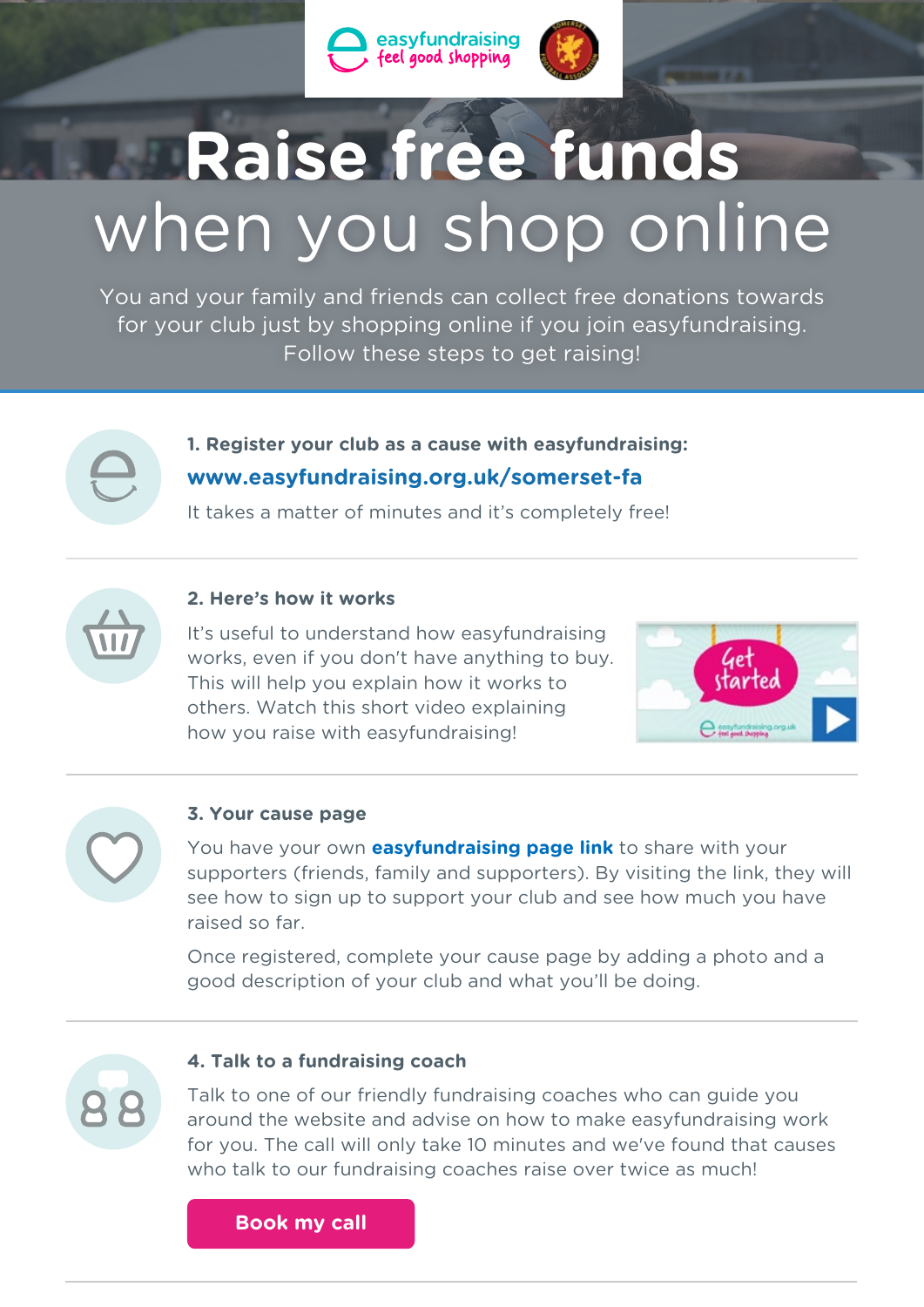



# **Raise free funds** when you shop online

You and your family and friends can collect free donations towards for your club just by shopping online if you join easyfundraising. Follow these steps to get raising!



## **1. Register your club as a cause with easyfundraising: <www.easyfundraising.org.uk/somerset-fa>**

It takes a matter of minutes and it's completely free!



## **2. Here's how it works**

It's useful to understand how easyfundraising works, even if you don't have anything to buy. This will help you explain how it works to others. Watch this short video explaining how you raise with easyfundraising!





## **3. Your cause page**

You have your own **[easyfundraising page link](https://easyfundraisingemail.s3.amazonaws.com/partners/packyourbags/PYB%20promo%20pack.zip)** to share with your supporters (friends, family and supporters). By visiting the link, they will see how to sign up to support your club and see how much you have raised so far.

Once registered, complete your cause page by adding a photo and a good description of your club and what you'll be doing.



## **4. Talk to a fundraising coach**

Talk to one of our friendly fundraising coaches who can guide you around the website and advise on how to make easyfundraising work for you. The call will only take 10 minutes and we've found that causes who talk to our fundraising coaches raise over twice as much!

**[Book my call](https://www.easyfundraising.org.uk/panel/)**